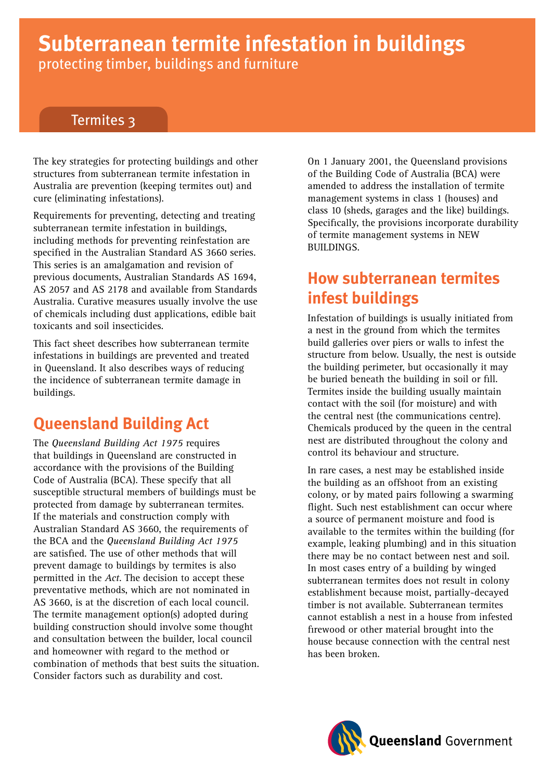# **Subterranean termite infestation in buildings** protecting timber, buildings and furniture

# Termites 3

The key strategies for protecting buildings and other structures from subterranean termite infestation in Australia are prevention (keeping termites out) and cure (eliminating infestations).

Requirements for preventing, detecting and treating subterranean termite infestation in buildings, including methods for preventing reinfestation are specified in the Australian Standard AS 3660 series. This series is an amalgamation and revision of previous documents, Australian Standards AS 1694, AS 2057 and AS 2178 and available from Standards Australia. Curative measures usually involve the use of chemicals including dust applications, edible bait toxicants and soil insecticides.

This fact sheet describes how subterranean termite infestations in buildings are prevented and treated in Queensland. It also describes ways of reducing the incidence of subterranean termite damage in buildings.

# **Queensland Building Act**

The *Queensland Building Act 1975* requires that buildings in Queensland are constructed in accordance with the provisions of the Building Code of Australia (BCA). These specify that all susceptible structural members of buildings must be protected from damage by subterranean termites. If the materials and construction comply with Australian Standard AS 3660, the requirements of the BCA and the *Queensland Building Act 1975* are satisfied. The use of other methods that will prevent damage to buildings by termites is also permitted in the *Act*. The decision to accept these preventative methods, which are not nominated in AS 3660, is at the discretion of each local council. The termite management option(s) adopted during building construction should involve some thought and consultation between the builder, local council and homeowner with regard to the method or combination of methods that best suits the situation. Consider factors such as durability and cost.

On 1 January 2001, the Queensland provisions of the Building Code of Australia (BCA) were amended to address the installation of termite management systems in class 1 (houses) and class 10 (sheds, garages and the like) buildings. Specifically, the provisions incorporate durability of termite management systems in NEW BUILDINGS.

# **How subterranean termites infest buildings**

Infestation of buildings is usually initiated from a nest in the ground from which the termites build galleries over piers or walls to infest the structure from below. Usually, the nest is outside the building perimeter, but occasionally it may be buried beneath the building in soil or fill. Termites inside the building usually maintain contact with the soil (for moisture) and with the central nest (the communications centre). Chemicals produced by the queen in the central nest are distributed throughout the colony and control its behaviour and structure.

In rare cases, a nest may be established inside the building as an offshoot from an existing colony, or by mated pairs following a swarming flight. Such nest establishment can occur where a source of permanent moisture and food is available to the termites within the building (for example, leaking plumbing) and in this situation there may be no contact between nest and soil. In most cases entry of a building by winged subterranean termites does not result in colony establishment because moist, partially-decayed timber is not available. Subterranean termites cannot establish a nest in a house from infested firewood or other material brought into the house because connection with the central nest has been broken.

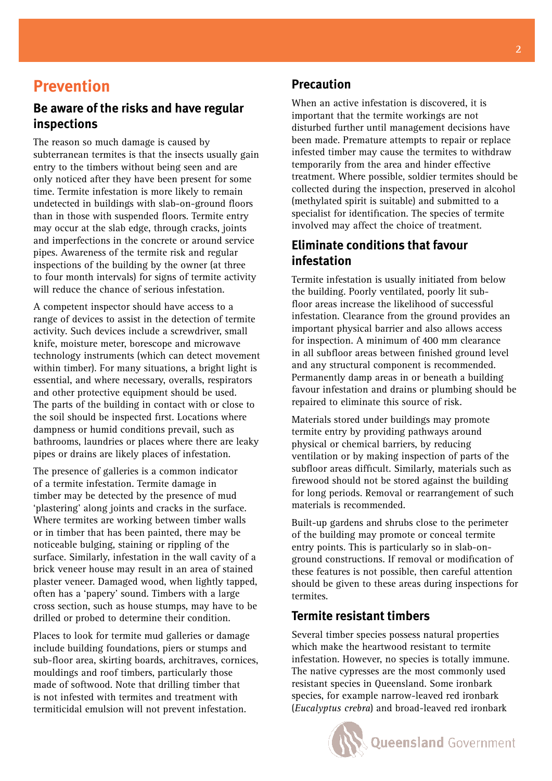# **Prevention**

#### **Be aware of the risks and have regular inspections**

The reason so much damage is caused by subterranean termites is that the insects usually gain entry to the timbers without being seen and are only noticed after they have been present for some time. Termite infestation is more likely to remain undetected in buildings with slab-on-ground floors than in those with suspended floors. Termite entry may occur at the slab edge, through cracks, joints and imperfections in the concrete or around service pipes. Awareness of the termite risk and regular inspections of the building by the owner (at three to four month intervals) for signs of termite activity will reduce the chance of serious infestation.

A competent inspector should have access to a range of devices to assist in the detection of termite activity. Such devices include a screwdriver, small knife, moisture meter, borescope and microwave technology instruments (which can detect movement within timber). For many situations, a bright light is essential, and where necessary, overalls, respirators and other protective equipment should be used. The parts of the building in contact with or close to the soil should be inspected first. Locations where dampness or humid conditions prevail, such as bathrooms, laundries or places where there are leaky pipes or drains are likely places of infestation.

The presence of galleries is a common indicator of a termite infestation. Termite damage in timber may be detected by the presence of mud 'plastering' along joints and cracks in the surface. Where termites are working between timber walls or in timber that has been painted, there may be noticeable bulging, staining or rippling of the surface. Similarly, infestation in the wall cavity of a brick veneer house may result in an area of stained plaster veneer. Damaged wood, when lightly tapped, often has a 'papery' sound. Timbers with a large cross section, such as house stumps, may have to be drilled or probed to determine their condition.

Places to look for termite mud galleries or damage include building foundations, piers or stumps and sub-floor area, skirting boards, architraves, cornices, mouldings and roof timbers, particularly those made of softwood. Note that drilling timber that is not infested with termites and treatment with termiticidal emulsion will not prevent infestation.

#### **Precaution**

When an active infestation is discovered, it is important that the termite workings are not disturbed further until management decisions have been made. Premature attempts to repair or replace infested timber may cause the termites to withdraw temporarily from the area and hinder effective treatment. Where possible, soldier termites should be collected during the inspection, preserved in alcohol (methylated spirit is suitable) and submitted to a specialist for identification. The species of termite involved may affect the choice of treatment.

#### **Eliminate conditions that favour infestation**

Termite infestation is usually initiated from below the building. Poorly ventilated, poorly lit subfloor areas increase the likelihood of successful infestation. Clearance from the ground provides an important physical barrier and also allows access for inspection. A minimum of 400 mm clearance in all subfloor areas between finished ground level and any structural component is recommended. Permanently damp areas in or beneath a building favour infestation and drains or plumbing should be repaired to eliminate this source of risk.

Materials stored under buildings may promote termite entry by providing pathways around physical or chemical barriers, by reducing ventilation or by making inspection of parts of the subfloor areas difficult. Similarly, materials such as firewood should not be stored against the building for long periods. Removal or rearrangement of such materials is recommended.

Built-up gardens and shrubs close to the perimeter of the building may promote or conceal termite entry points. This is particularly so in slab-onground constructions. If removal or modification of these features is not possible, then careful attention should be given to these areas during inspections for termites.

#### **Termite resistant timbers**

Several timber species possess natural properties which make the heartwood resistant to termite infestation. However, no species is totally immune. The native cypresses are the most commonly used resistant species in Queensland. Some ironbark species, for example narrow-leaved red ironbark (*Eucalyptus crebra*) and broad-leaved red ironbark

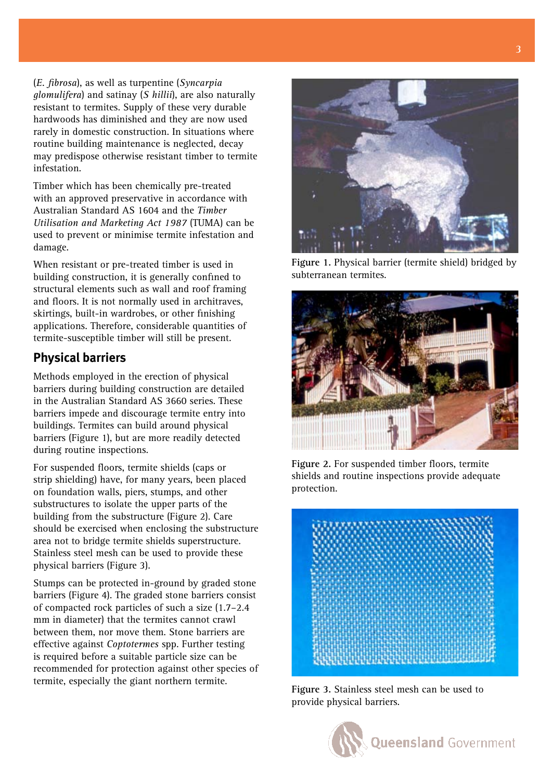(*E. fibrosa*), as well as turpentine (*Syncarpia glomulifera*) and satinay (*S hillii*), are also naturally resistant to termites. Supply of these very durable hardwoods has diminished and they are now used rarely in domestic construction. In situations where routine building maintenance is neglected, decay may predispose otherwise resistant timber to termite infestation.

Timber which has been chemically pre-treated with an approved preservative in accordance with Australian Standard AS 1604 and the *Timber Utilisation and Marketing Act 1987* (TUMA) can be used to prevent or minimise termite infestation and damage.

When resistant or pre-treated timber is used in building construction, it is generally confined to structural elements such as wall and roof framing and floors. It is not normally used in architraves, skirtings, built-in wardrobes, or other finishing applications. Therefore, considerable quantities of termite-susceptible timber will still be present.

#### **Physical barriers**

Methods employed in the erection of physical barriers during building construction are detailed in the Australian Standard AS 3660 series. These barriers impede and discourage termite entry into buildings. Termites can build around physical barriers (Figure 1), but are more readily detected during routine inspections.

For suspended floors, termite shields (caps or strip shielding) have, for many years, been placed on foundation walls, piers, stumps, and other substructures to isolate the upper parts of the building from the substructure (Figure 2). Care should be exercised when enclosing the substructure area not to bridge termite shields superstructure. Stainless steel mesh can be used to provide these physical barriers (Figure 3).

Stumps can be protected in-ground by graded stone barriers (Figure 4). The graded stone barriers consist of compacted rock particles of such a size (1.7–2.4 mm in diameter) that the termites cannot crawl between them, nor move them. Stone barriers are effective against *Coptotermes* spp. Further testing is required before a suitable particle size can be recommended for protection against other species of termite, especially the giant northern termite.

**Figure 1.** Physical barrier (termite shield) bridged by subterranean termites.



**Figure 2.** For suspended timber floors, termite shields and routine inspections provide adequate protection.



**Figure 3.** Stainless steel mesh can be used to provide physical barriers.

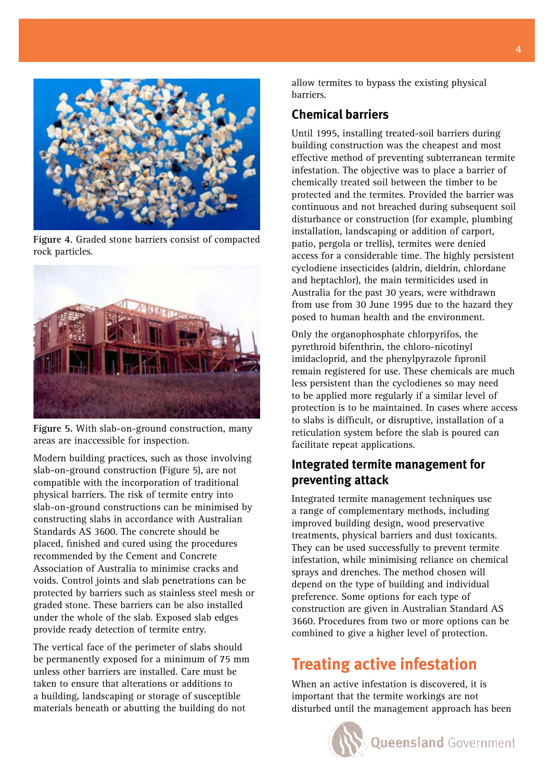

**Figure 4.** Graded stone barriers consist of compacted rock particles.



**Figure 5.** With slab-on-ground construction, many areas are inaccessible for inspection.

Modern building practices, such as those involving slab-on-ground construction (Figure 5), are not compatible with the incorporation of traditional physical barriers. The risk of termite entry into slab-on-ground constructions can be minimised by constructing slabs in accordance with Australian Standards AS 3600. The concrete should be placed, finished and cured using the procedures recommended by the Cement and Concrete Association of Australia to minimise cracks and voids. Control joints and slab penetrations can be protected by barriers such as stainless steel mesh or graded stone. These barriers can be also installed under the whole of the slab. Exposed slab edges provide ready detection of termite entry.

The vertical face of the perimeter of slabs should be permanently exposed for a minimum of 75 mm unless other barriers are installed. Care must be taken to ensure that alterations or additions to a building, landscaping or storage of susceptible materials beneath or abutting the building do not

allow termites to bypass the existing physical barriers.

#### **Chemical barriers**

Until 1995, installing treated-soil barriers during building construction was the cheapest and most effective method of preventing subterranean termite infestation. The objective was to place a barrier of chemically treated soil between the timber to be protected and the termites. Provided the barrier was continuous and not breached during subsequent soil disturbance or construction (for example, plumbing installation, landscaping or addition of carport, patio, pergola or trellis), termites were denied access for a considerable time. The highly persistent cyclodiene insecticides (aldrin, dieldrin, chlordane and heptachlor), the main termiticides used in Australia for the past 30 years, were withdrawn from use from 30 June 1995 due to the hazard they posed to human health and the environment.

Only the organophosphate chlorpyrifos, the pyrethroid bifenthrin, the chloro-nicotinyl imidacloprid, and the phenylpyrazole fipronil remain registered for use. These chemicals are much less persistent than the cyclodienes so may need to be applied more regularly if a similar level of protection is to be maintained. In cases where access to slabs is difficult, or disruptive, installation of a reticulation system before the slab is poured can facilitate repeat applications.

### **Integrated termite management for preventing attack**

Integrated termite management techniques use a range of complementary methods, including improved building design, wood preservative treatments, physical barriers and dust toxicants. They can be used successfully to prevent termite infestation, while minimising reliance on chemical sprays and drenches. The method chosen will depend on the type of building and individual preference. Some options for each type of construction are given in Australian Standard AS 3660. Procedures from two or more options can be combined to give a higher level of protection.

# **Treating active infestation**

When an active infestation is discovered, it is important that the termite workings are not disturbed until the management approach has been

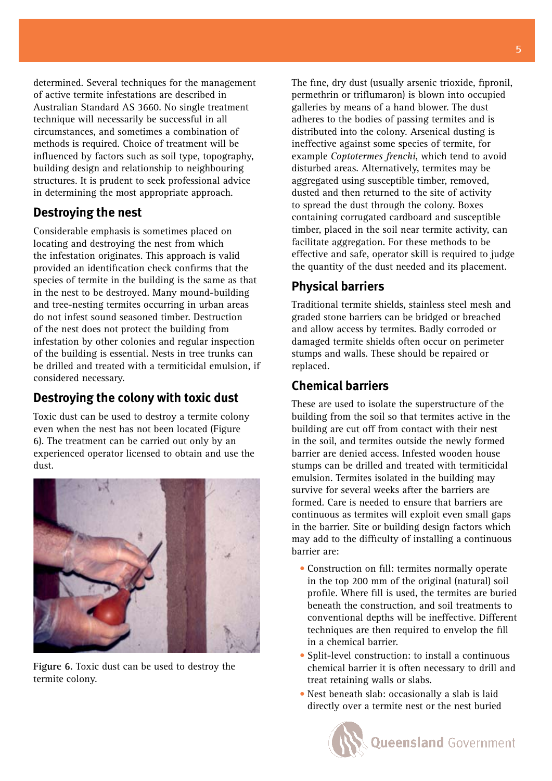determined. Several techniques for the management of active termite infestations are described in Australian Standard AS 3660. No single treatment technique will necessarily be successful in all circumstances, and sometimes a combination of methods is required. Choice of treatment will be influenced by factors such as soil type, topography, building design and relationship to neighbouring structures. It is prudent to seek professional advice in determining the most appropriate approach.

#### **Destroying the nest**

Considerable emphasis is sometimes placed on locating and destroying the nest from which the infestation originates. This approach is valid provided an identification check confirms that the species of termite in the building is the same as that in the nest to be destroyed. Many mound-building and tree-nesting termites occurring in urban areas do not infest sound seasoned timber. Destruction of the nest does not protect the building from infestation by other colonies and regular inspection of the building is essential. Nests in tree trunks can be drilled and treated with a termiticidal emulsion, if considered necessary.

### **Destroying the colony with toxic dust**

Toxic dust can be used to destroy a termite colony even when the nest has not been located (Figure 6). The treatment can be carried out only by an experienced operator licensed to obtain and use the dust.



**Figure 6.** Toxic dust can be used to destroy the termite colony.

The fine, dry dust (usually arsenic trioxide, fipronil, permethrin or triflumaron) is blown into occupied galleries by means of a hand blower. The dust adheres to the bodies of passing termites and is distributed into the colony. Arsenical dusting is ineffective against some species of termite, for example *Coptotermes frenchi*, which tend to avoid disturbed areas. Alternatively, termites may be aggregated using susceptible timber, removed, dusted and then returned to the site of activity to spread the dust through the colony. Boxes containing corrugated cardboard and susceptible timber, placed in the soil near termite activity, can facilitate aggregation. For these methods to be effective and safe, operator skill is required to judge the quantity of the dust needed and its placement.

### **Physical barriers**

Traditional termite shields, stainless steel mesh and graded stone barriers can be bridged or breached and allow access by termites. Badly corroded or damaged termite shields often occur on perimeter stumps and walls. These should be repaired or replaced.

### **Chemical barriers**

These are used to isolate the superstructure of the building from the soil so that termites active in the building are cut off from contact with their nest in the soil, and termites outside the newly formed barrier are denied access. Infested wooden house stumps can be drilled and treated with termiticidal emulsion. Termites isolated in the building may survive for several weeks after the barriers are formed. Care is needed to ensure that barriers are continuous as termites will exploit even small gaps in the barrier. Site or building design factors which may add to the difficulty of installing a continuous barrier are:

- Construction on fill: termites normally operate in the top 200 mm of the original (natural) soil profile. Where fill is used, the termites are buried beneath the construction, and soil treatments to conventional depths will be ineffective. Different techniques are then required to envelop the fill in a chemical barrier.
- Split-level construction: to install a continuous chemical barrier it is often necessary to drill and treat retaining walls or slabs.
- Nest beneath slab: occasionally a slab is laid •directly over a termite nest or the nest buried

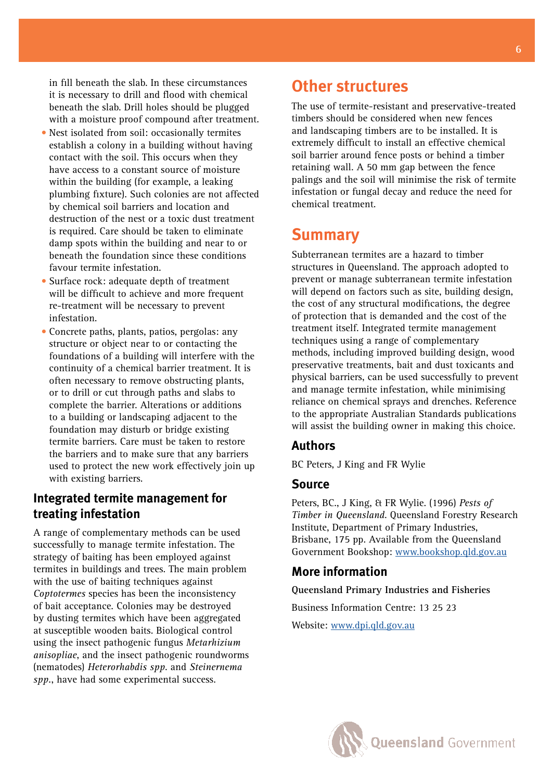in fill beneath the slab. In these circumstances it is necessary to drill and flood with chemical beneath the slab. Drill holes should be plugged with a moisture proof compound after treatment.

- Nest isolated from soil: occasionally termites establish a colony in a building without having contact with the soil. This occurs when they have access to a constant source of moisture within the building (for example, a leaking plumbing fixture). Such colonies are not affected by chemical soil barriers and location and destruction of the nest or a toxic dust treatment is required. Care should be taken to eliminate damp spots within the building and near to or beneath the foundation since these conditions favour termite infestation.
- Surface rock: adequate depth of treatment will be difficult to achieve and more frequent re-treatment will be necessary to prevent infestation.
- Concrete paths, plants, patios, pergolas: any structure or object near to or contacting the foundations of a building will interfere with the continuity of a chemical barrier treatment. It is often necessary to remove obstructing plants, or to drill or cut through paths and slabs to complete the barrier. Alterations or additions to a building or landscaping adjacent to the foundation may disturb or bridge existing termite barriers. Care must be taken to restore the barriers and to make sure that any barriers used to protect the new work effectively join up with existing barriers.

#### **Integrated termite management for treating infestation**

A range of complementary methods can be used successfully to manage termite infestation. The strategy of baiting has been employed against termites in buildings and trees. The main problem with the use of baiting techniques against *Coptotermes* species has been the inconsistency of bait acceptance. Colonies may be destroyed by dusting termites which have been aggregated at susceptible wooden baits. Biological control using the insect pathogenic fungus *Metarhizium anisopliae*, and the insect pathogenic roundworms (nematodes) *Heterorhabdis spp*. and *Steinernema spp.*, have had some experimental success.

# **Other structures**

The use of termite-resistant and preservative-treated timbers should be considered when new fences and landscaping timbers are to be installed. It is extremely difficult to install an effective chemical soil barrier around fence posts or behind a timber retaining wall. A 50 mm gap between the fence palings and the soil will minimise the risk of termite infestation or fungal decay and reduce the need for chemical treatment.

## **Summary**

Subterranean termites are a hazard to timber structures in Queensland. The approach adopted to prevent or manage subterranean termite infestation will depend on factors such as site, building design, the cost of any structural modifications, the degree of protection that is demanded and the cost of the treatment itself. Integrated termite management techniques using a range of complementary methods, including improved building design, wood preservative treatments, bait and dust toxicants and physical barriers, can be used successfully to prevent and manage termite infestation, while minimising reliance on chemical sprays and drenches. Reference to the appropriate Australian Standards publications will assist the building owner in making this choice.

#### **Authors**

BC Peters, J King and FR Wylie

#### **Source**

Peters, BC., J King, & FR Wylie. (1996) *Pests of Timber in Queensland*. Queensland Forestry Research Institute, Department of Primary Industries, Brisbane, 175 pp. Available from the Queensland Government Bookshop: [www.bookshop.qld.gov.au](http://www.bookshop.qld.gov.au)

#### **More information**

**Queensland Primary Industries and Fisheries**

Business Information Centre: 13 25 23 Website: [www.dpi.qld.gov.au](http://www.dpi.qld.gov.au)